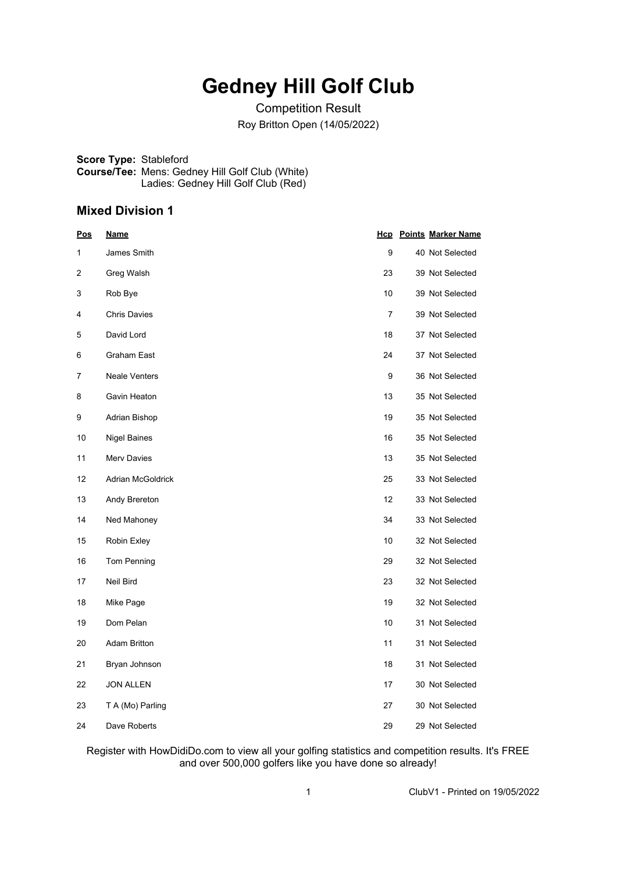## **Gedney Hill Golf Club**

Competition Result Roy Britton Open (14/05/2022)

**Score Type:** Stableford **Course/Tee:** Mens: Gedney Hill Golf Club (White) Ladies: Gedney Hill Golf Club (Red)

## **Mixed Division 1**

| <u>Pos</u> | <u>Name</u>          |                | <b>Hcp</b> Points Marker Name |
|------------|----------------------|----------------|-------------------------------|
| 1          | James Smith          | 9              | 40 Not Selected               |
| 2          | Greg Walsh           | 23             | 39 Not Selected               |
| 3          | Rob Bye              | 10             | 39 Not Selected               |
| 4          | <b>Chris Davies</b>  | $\overline{7}$ | 39 Not Selected               |
| 5          | David Lord           | 18             | 37 Not Selected               |
| 6          | Graham East          | 24             | 37 Not Selected               |
| 7          | <b>Neale Venters</b> | 9              | 36 Not Selected               |
| 8          | Gavin Heaton         | 13             | 35 Not Selected               |
| 9          | Adrian Bishop        | 19             | 35 Not Selected               |
| 10         | Nigel Baines         | 16             | 35 Not Selected               |
| 11         | <b>Merv Davies</b>   | 13             | 35 Not Selected               |
| 12         | Adrian McGoldrick    | 25             | 33 Not Selected               |
| 13         | Andy Brereton        | 12             | 33 Not Selected               |
| 14         | Ned Mahoney          | 34             | 33 Not Selected               |
| 15         | Robin Exley          | 10             | 32 Not Selected               |
| 16         | Tom Penning          | 29             | 32 Not Selected               |
| 17         | Neil Bird            | 23             | 32 Not Selected               |
| 18         | Mike Page            | 19             | 32 Not Selected               |
| 19         | Dom Pelan            | 10             | 31 Not Selected               |
| 20         | <b>Adam Britton</b>  | 11             | 31 Not Selected               |
| 21         | Bryan Johnson        | 18             | 31 Not Selected               |
| 22         | <b>JON ALLEN</b>     | 17             | 30 Not Selected               |
| 23         | T A (Mo) Parling     | 27             | 30 Not Selected               |
| 24         | Dave Roberts         | 29             | 29 Not Selected               |

Register with HowDidiDo.com to view all your golfing statistics and competition results. It's FREE and over 500,000 golfers like you have done so already!